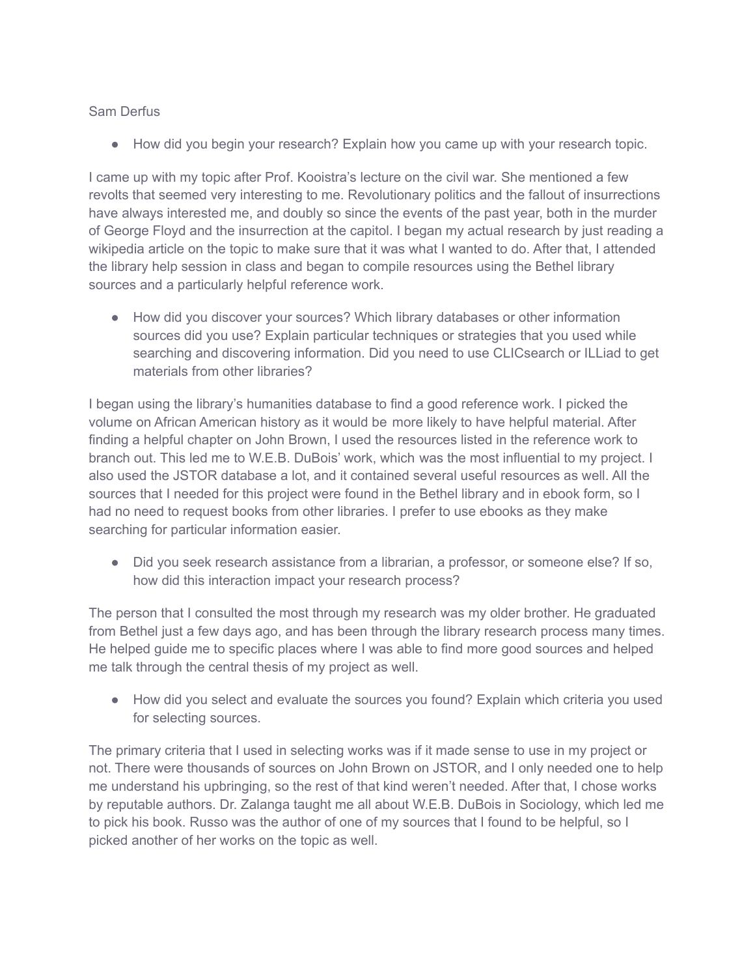## Sam Derfus

● How did you begin your research? Explain how you came up with your research topic.

I came up with my topic after Prof. Kooistra's lecture on the civil war. She mentioned a few revolts that seemed very interesting to me. Revolutionary politics and the fallout of insurrections have always interested me, and doubly so since the events of the past year, both in the murder of George Floyd and the insurrection at the capitol. I began my actual research by just reading a wikipedia article on the topic to make sure that it was what I wanted to do. After that, I attended the library help session in class and began to compile resources using the Bethel library sources and a particularly helpful reference work.

● How did you discover your sources? Which library databases or other information sources did you use? Explain particular techniques or strategies that you used while searching and discovering information. Did you need to use CLICsearch or ILLiad to get materials from other libraries?

I began using the library's humanities database to find a good reference work. I picked the volume on African American history as it would be more likely to have helpful material. After finding a helpful chapter on John Brown, I used the resources listed in the reference work to branch out. This led me to W.E.B. DuBois' work, which was the most influential to my project. I also used the JSTOR database a lot, and it contained several useful resources as well. All the sources that I needed for this project were found in the Bethel library and in ebook form, so I had no need to request books from other libraries. I prefer to use ebooks as they make searching for particular information easier.

● Did you seek research assistance from a librarian, a professor, or someone else? If so, how did this interaction impact your research process?

The person that I consulted the most through my research was my older brother. He graduated from Bethel just a few days ago, and has been through the library research process many times. He helped guide me to specific places where I was able to find more good sources and helped me talk through the central thesis of my project as well.

● How did you select and evaluate the sources you found? Explain which criteria you used for selecting sources.

The primary criteria that I used in selecting works was if it made sense to use in my project or not. There were thousands of sources on John Brown on JSTOR, and I only needed one to help me understand his upbringing, so the rest of that kind weren't needed. After that, I chose works by reputable authors. Dr. Zalanga taught me all about W.E.B. DuBois in Sociology, which led me to pick his book. Russo was the author of one of my sources that I found to be helpful, so I picked another of her works on the topic as well.